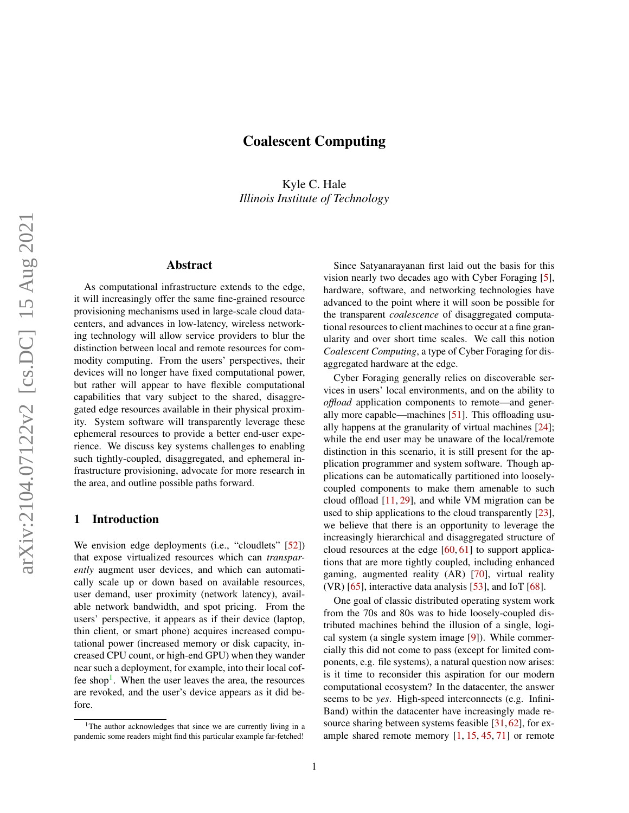# Coalescent Computing

Kyle C. Hale *Illinois Institute of Technology*

## Abstract

As computational infrastructure extends to the edge, it will increasingly offer the same fine-grained resource provisioning mechanisms used in large-scale cloud datacenters, and advances in low-latency, wireless networking technology will allow service providers to blur the distinction between local and remote resources for commodity computing. From the users' perspectives, their devices will no longer have fixed computational power, but rather will appear to have flexible computational capabilities that vary subject to the shared, disaggregated edge resources available in their physical proximity. System software will transparently leverage these ephemeral resources to provide a better end-user experience. We discuss key systems challenges to enabling such tightly-coupled, disaggregated, and ephemeral infrastructure provisioning, advocate for more research in the area, and outline possible paths forward.

#### 1 Introduction

We envision edge deployments (i.e., "cloudlets" [\[52\]](#page-9-0)) that expose virtualized resources which can *transparently* augment user devices, and which can automatically scale up or down based on available resources, user demand, user proximity (network latency), available network bandwidth, and spot pricing. From the users' perspective, it appears as if their device (laptop, thin client, or smart phone) acquires increased computational power (increased memory or disk capacity, increased CPU count, or high-end GPU) when they wander near such a deployment, for example, into their local cof-fee shop<sup>[1](#page-0-0)</sup>. When the user leaves the area, the resources are revoked, and the user's device appears as it did before.

Since Satyanarayanan first laid out the basis for this vision nearly two decades ago with Cyber Foraging [\[5\]](#page-6-0), hardware, software, and networking technologies have advanced to the point where it will soon be possible for the transparent *coalescence* of disaggregated computational resources to client machines to occur at a fine granularity and over short time scales. We call this notion *Coalescent Computing*, a type of Cyber Foraging for disaggregated hardware at the edge.

Cyber Foraging generally relies on discoverable services in users' local environments, and on the ability to *offload* application components to remote—and generally more capable—machines [\[51\]](#page-9-1). This offloading usually happens at the granularity of virtual machines [\[24\]](#page-7-0); while the end user may be unaware of the local/remote distinction in this scenario, it is still present for the application programmer and system software. Though applications can be automatically partitioned into looselycoupled components to make them amenable to such cloud offload [\[11,](#page-7-1) [29\]](#page-8-0), and while VM migration can be used to ship applications to the cloud transparently [\[23\]](#page-7-2), we believe that there is an opportunity to leverage the increasingly hierarchical and disaggregated structure of cloud resources at the edge [\[60,](#page-10-0) [61\]](#page-10-1) to support applications that are more tightly coupled, including enhanced gaming, augmented reality (AR) [\[70\]](#page-10-2), virtual reality (VR)  $[65]$ , interactive data analysis  $[53]$ , and IoT  $[68]$ .

One goal of classic distributed operating system work from the 70s and 80s was to hide loosely-coupled distributed machines behind the illusion of a single, logical system (a single system image [\[9\]](#page-6-1)). While commercially this did not come to pass (except for limited components, e.g. file systems), a natural question now arises: is it time to reconsider this aspiration for our modern computational ecosystem? In the datacenter, the answer seems to be *yes*. High-speed interconnects (e.g. Infini-Band) within the datacenter have increasingly made re-source sharing between systems feasible [\[31,](#page-8-1) [62\]](#page-10-5), for example shared remote memory  $[1, 15, 45, 71]$  $[1, 15, 45, 71]$  $[1, 15, 45, 71]$  $[1, 15, 45, 71]$  $[1, 15, 45, 71]$  $[1, 15, 45, 71]$  $[1, 15, 45, 71]$  or remote

<span id="page-0-0"></span><sup>&</sup>lt;sup>1</sup>The author acknowledges that since we are currently living in a pandemic some readers might find this particular example far-fetched!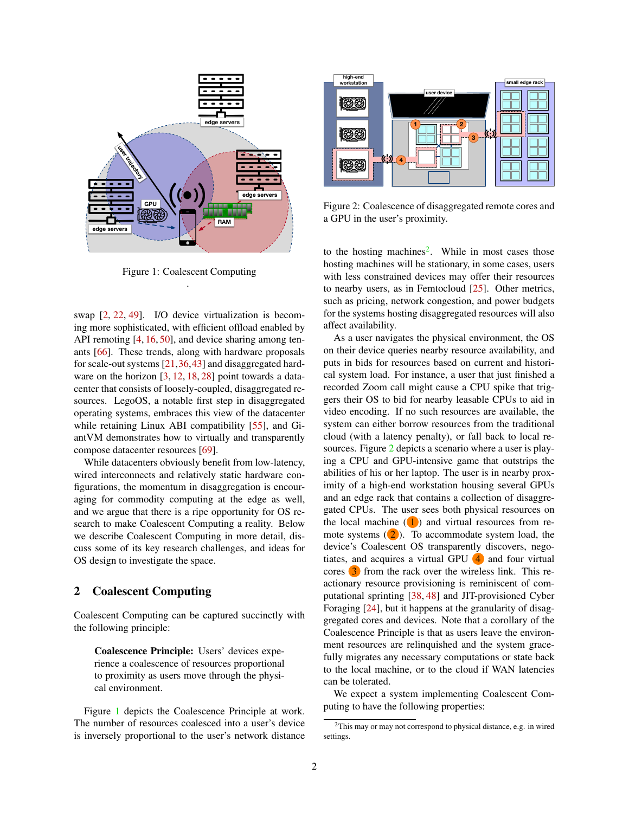

<span id="page-1-0"></span>Figure 1: Coalescent Computing .

swap [\[2,](#page-6-3) [22,](#page-7-4) [49\]](#page-9-4). I/O device virtualization is becoming more sophisticated, with efficient offload enabled by API remoting [\[4,](#page-6-4) [16,](#page-7-5) [50\]](#page-9-5), and device sharing among tenants [\[66\]](#page-10-6). These trends, along with hardware proposals for scale-out systems [\[21,](#page-7-6)[36,](#page-8-2)[43\]](#page-9-6) and disaggregated hard-ware on the horizon [\[3,](#page-6-5) [12,](#page-7-7) [18,](#page-7-8) [28\]](#page-8-3) point towards a datacenter that consists of loosely-coupled, disaggregated resources. LegoOS, a notable first step in disaggregated operating systems, embraces this view of the datacenter while retaining Linux ABI compatibility [\[55\]](#page-9-7), and GiantVM demonstrates how to virtually and transparently compose datacenter resources [\[69\]](#page-10-7).

While datacenters obviously benefit from low-latency, wired interconnects and relatively static hardware configurations, the momentum in disaggregation is encouraging for commodity computing at the edge as well, and we argue that there is a ripe opportunity for OS research to make Coalescent Computing a reality. Below we describe Coalescent Computing in more detail, discuss some of its key research challenges, and ideas for OS design to investigate the space.

## 2 Coalescent Computing

Coalescent Computing can be captured succinctly with the following principle:

Coalescence Principle: Users' devices experience a coalescence of resources proportional to proximity as users move through the physical environment.

Figure [1](#page-1-0) depicts the Coalescence Principle at work. The number of resources coalesced into a user's device is inversely proportional to the user's network distance



<span id="page-1-2"></span>Figure 2: Coalescence of disaggregated remote cores and a GPU in the user's proximity.

to the hosting machines<sup>[2](#page-1-1)</sup>. While in most cases those hosting machines will be stationary, in some cases, users with less constrained devices may offer their resources to nearby users, as in Femtocloud [\[25\]](#page-8-4). Other metrics, such as pricing, network congestion, and power budgets for the systems hosting disaggregated resources will also affect availability.

As a user navigates the physical environment, the OS on their device queries nearby resource availability, and puts in bids for resources based on current and historical system load. For instance, a user that just finished a recorded Zoom call might cause a CPU spike that triggers their OS to bid for nearby leasable CPUs to aid in video encoding. If no such resources are available, the system can either borrow resources from the traditional cloud (with a latency penalty), or fall back to local resources. Figure [2](#page-1-2) depicts a scenario where a user is playing a CPU and GPU-intensive game that outstrips the abilities of his or her laptop. The user is in nearby proximity of a high-end workstation housing several GPUs and an edge rack that contains a collection of disaggregated CPUs. The user sees both physical resources on the local machine  $(1)$  and virtual resources from remote systems  $(2)$ . To accommodate system load, the device's Coalescent OS transparently discovers, negotiates, and acquires a virtual GPU  $\overline{4}$  and four virtual cores 3 from the rack over the wireless link. This reactionary resource provisioning is reminiscent of computational sprinting [\[38,](#page-8-5) [48\]](#page-9-8) and JIT-provisioned Cyber Foraging [\[24\]](#page-7-0), but it happens at the granularity of disaggregated cores and devices. Note that a corollary of the Coalescence Principle is that as users leave the environment resources are relinquished and the system gracefully migrates any necessary computations or state back to the local machine, or to the cloud if WAN latencies can be tolerated.

We expect a system implementing Coalescent Computing to have the following properties:

<span id="page-1-1"></span><sup>2</sup>This may or may not correspond to physical distance, e.g. in wired settings.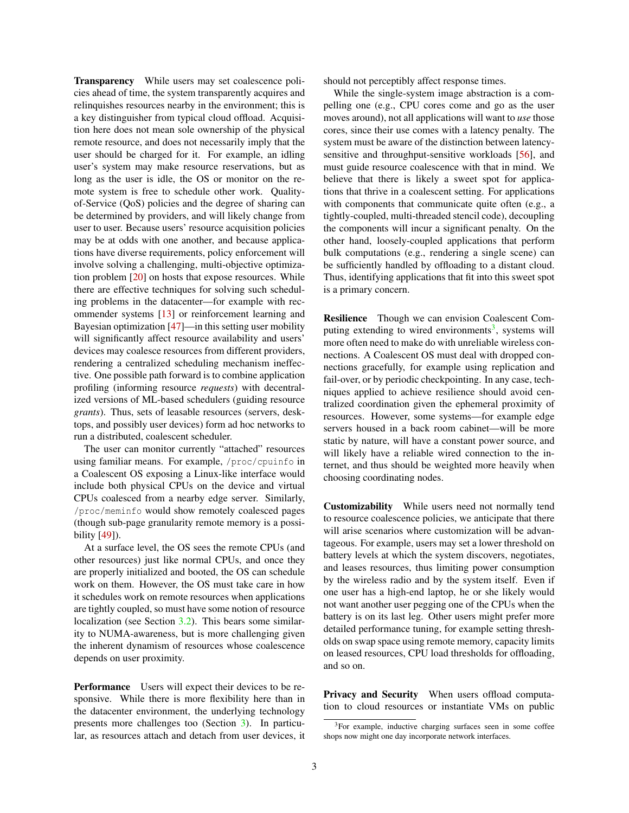Transparency While users may set coalescence policies ahead of time, the system transparently acquires and relinquishes resources nearby in the environment; this is a key distinguisher from typical cloud offload. Acquisition here does not mean sole ownership of the physical remote resource, and does not necessarily imply that the user should be charged for it. For example, an idling user's system may make resource reservations, but as long as the user is idle, the OS or monitor on the remote system is free to schedule other work. Qualityof-Service (QoS) policies and the degree of sharing can be determined by providers, and will likely change from user to user. Because users' resource acquisition policies may be at odds with one another, and because applications have diverse requirements, policy enforcement will involve solving a challenging, multi-objective optimization problem [\[20\]](#page-7-9) on hosts that expose resources. While there are effective techniques for solving such scheduling problems in the datacenter—for example with recommender systems [\[13\]](#page-7-10) or reinforcement learning and Bayesian optimization [\[47\]](#page-9-9)—in this setting user mobility will significantly affect resource availability and users' devices may coalesce resources from different providers, rendering a centralized scheduling mechanism ineffective. One possible path forward is to combine application profiling (informing resource *requests*) with decentralized versions of ML-based schedulers (guiding resource *grants*). Thus, sets of leasable resources (servers, desktops, and possibly user devices) form ad hoc networks to run a distributed, coalescent scheduler.

The user can monitor currently "attached" resources using familiar means. For example, /proc/cpuinfo in a Coalescent OS exposing a Linux-like interface would include both physical CPUs on the device and virtual CPUs coalesced from a nearby edge server. Similarly, /proc/meminfo would show remotely coalesced pages (though sub-page granularity remote memory is a possibility [\[49\]](#page-9-4)).

At a surface level, the OS sees the remote CPUs (and other resources) just like normal CPUs, and once they are properly initialized and booted, the OS can schedule work on them. However, the OS must take care in how it schedules work on remote resources when applications are tightly coupled, so must have some notion of resource localization (see Section [3.2\)](#page-4-0). This bears some similarity to NUMA-awareness, but is more challenging given the inherent dynamism of resources whose coalescence depends on user proximity.

Performance Users will expect their devices to be responsive. While there is more flexibility here than in the datacenter environment, the underlying technology presents more challenges too (Section [3\)](#page-3-0). In particular, as resources attach and detach from user devices, it should not perceptibly affect response times.

While the single-system image abstraction is a compelling one (e.g., CPU cores come and go as the user moves around), not all applications will want to *use* those cores, since their use comes with a latency penalty. The system must be aware of the distinction between latencysensitive and throughput-sensitive workloads [\[56\]](#page-10-8), and must guide resource coalescence with that in mind. We believe that there is likely a sweet spot for applications that thrive in a coalescent setting. For applications with components that communicate quite often (e.g., a tightly-coupled, multi-threaded stencil code), decoupling the components will incur a significant penalty. On the other hand, loosely-coupled applications that perform bulk computations (e.g., rendering a single scene) can be sufficiently handled by offloading to a distant cloud. Thus, identifying applications that fit into this sweet spot is a primary concern.

Resilience Though we can envision Coalescent Com-puting extending to wired environments<sup>[3](#page-2-0)</sup>, systems will more often need to make do with unreliable wireless connections. A Coalescent OS must deal with dropped connections gracefully, for example using replication and fail-over, or by periodic checkpointing. In any case, techniques applied to achieve resilience should avoid centralized coordination given the ephemeral proximity of resources. However, some systems—for example edge servers housed in a back room cabinet—will be more static by nature, will have a constant power source, and will likely have a reliable wired connection to the internet, and thus should be weighted more heavily when choosing coordinating nodes.

Customizability While users need not normally tend to resource coalescence policies, we anticipate that there will arise scenarios where customization will be advantageous. For example, users may set a lower threshold on battery levels at which the system discovers, negotiates, and leases resources, thus limiting power consumption by the wireless radio and by the system itself. Even if one user has a high-end laptop, he or she likely would not want another user pegging one of the CPUs when the battery is on its last leg. Other users might prefer more detailed performance tuning, for example setting thresholds on swap space using remote memory, capacity limits on leased resources, CPU load thresholds for offloading, and so on.

Privacy and Security When users offload computation to cloud resources or instantiate VMs on public

<span id="page-2-0"></span><sup>&</sup>lt;sup>3</sup>For example, inductive charging surfaces seen in some coffee shops now might one day incorporate network interfaces.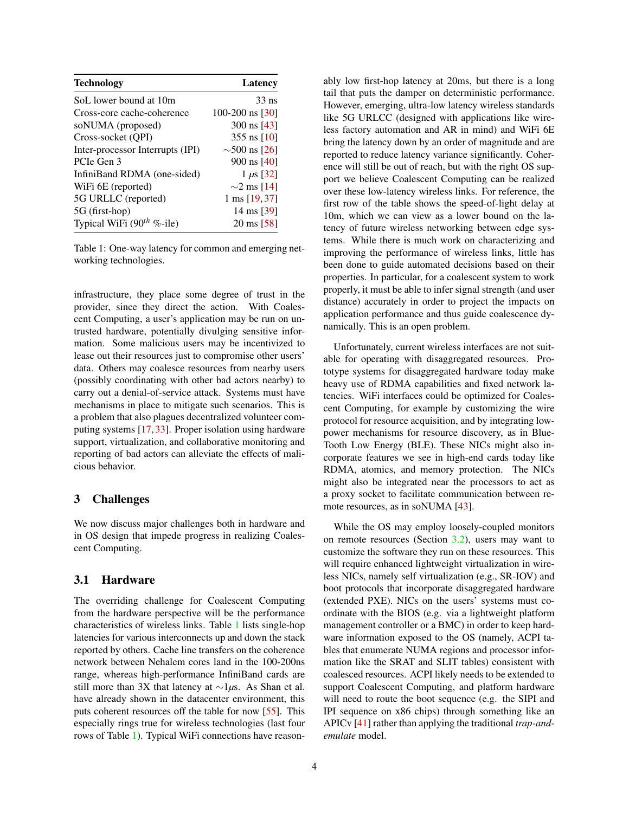| <b>Technology</b>                | Latency               |
|----------------------------------|-----------------------|
| SoL lower bound at 10m           | $33$ ns               |
| Cross-core cache-coherence       | 100-200 ns $[30]$     |
| soNUMA (proposed)                | 300 ns $[43]$         |
| Cross-socket (OPI)               | 355 ns $[10]$         |
| Inter-processor Interrupts (IPI) | $\sim$ 500 ns [26]    |
| PCIe Gen 3                       | $900 \text{ ns}$ [40] |
| InfiniBand RDMA (one-sided)      | 1 $\mu$ s [32]        |
| WiFi 6E (reported)               | $\sim$ 2 ms [14]      |
| 5G URLLC (reported)              | 1 ms [19, 37]         |
| 5G (first-hop)                   | 14 ms [39]            |
| Typical WiFi $(90^{th}$ %-ile)   | $20 \text{ ms} [58]$  |

<span id="page-3-1"></span>Table 1: One-way latency for common and emerging networking technologies.

infrastructure, they place some degree of trust in the provider, since they direct the action. With Coalescent Computing, a user's application may be run on untrusted hardware, potentially divulging sensitive information. Some malicious users may be incentivized to lease out their resources just to compromise other users' data. Others may coalesce resources from nearby users (possibly coordinating with other bad actors nearby) to carry out a denial-of-service attack. Systems must have mechanisms in place to mitigate such scenarios. This is a problem that also plagues decentralized volunteer computing systems [\[17,](#page-7-14) [33\]](#page-8-11). Proper isolation using hardware support, virtualization, and collaborative monitoring and reporting of bad actors can alleviate the effects of malicious behavior.

## <span id="page-3-0"></span>3 Challenges

We now discuss major challenges both in hardware and in OS design that impede progress in realizing Coalescent Computing.

#### 3.1 Hardware

The overriding challenge for Coalescent Computing from the hardware perspective will be the performance characteristics of wireless links. Table [1](#page-3-1) lists single-hop latencies for various interconnects up and down the stack reported by others. Cache line transfers on the coherence network between Nehalem cores land in the 100-200ns range, whereas high-performance InfiniBand cards are still more than 3X that latency at ∼1*µ*s. As Shan et al. have already shown in the datacenter environment, this puts coherent resources off the table for now [\[55\]](#page-9-7). This especially rings true for wireless technologies (last four rows of Table [1\)](#page-3-1). Typical WiFi connections have reasonably low first-hop latency at 20ms, but there is a long tail that puts the damper on deterministic performance. However, emerging, ultra-low latency wireless standards like 5G URLCC (designed with applications like wireless factory automation and AR in mind) and WiFi 6E bring the latency down by an order of magnitude and are reported to reduce latency variance significantly. Coherence will still be out of reach, but with the right OS support we believe Coalescent Computing can be realized over these low-latency wireless links. For reference, the first row of the table shows the speed-of-light delay at 10m, which we can view as a lower bound on the latency of future wireless networking between edge systems. While there is much work on characterizing and improving the performance of wireless links, little has been done to guide automated decisions based on their properties. In particular, for a coalescent system to work properly, it must be able to infer signal strength (and user distance) accurately in order to project the impacts on application performance and thus guide coalescence dynamically. This is an open problem.

Unfortunately, current wireless interfaces are not suitable for operating with disaggregated resources. Prototype systems for disaggregated hardware today make heavy use of RDMA capabilities and fixed network latencies. WiFi interfaces could be optimized for Coalescent Computing, for example by customizing the wire protocol for resource acquisition, and by integrating lowpower mechanisms for resource discovery, as in Blue-Tooth Low Energy (BLE). These NICs might also incorporate features we see in high-end cards today like RDMA, atomics, and memory protection. The NICs might also be integrated near the processors to act as a proxy socket to facilitate communication between remote resources, as in soNUMA [\[43\]](#page-9-6).

While the OS may employ loosely-coupled monitors on remote resources (Section [3.2\)](#page-4-0), users may want to customize the software they run on these resources. This will require enhanced lightweight virtualization in wireless NICs, namely self virtualization (e.g., SR-IOV) and boot protocols that incorporate disaggregated hardware (extended PXE). NICs on the users' systems must coordinate with the BIOS (e.g. via a lightweight platform management controller or a BMC) in order to keep hardware information exposed to the OS (namely, ACPI tables that enumerate NUMA regions and processor information like the SRAT and SLIT tables) consistent with coalesced resources. ACPI likely needs to be extended to support Coalescent Computing, and platform hardware will need to route the boot sequence (e.g. the SIPI and IPI sequence on x86 chips) through something like an APICv [\[41\]](#page-9-11) rather than applying the traditional *trap-andemulate* model.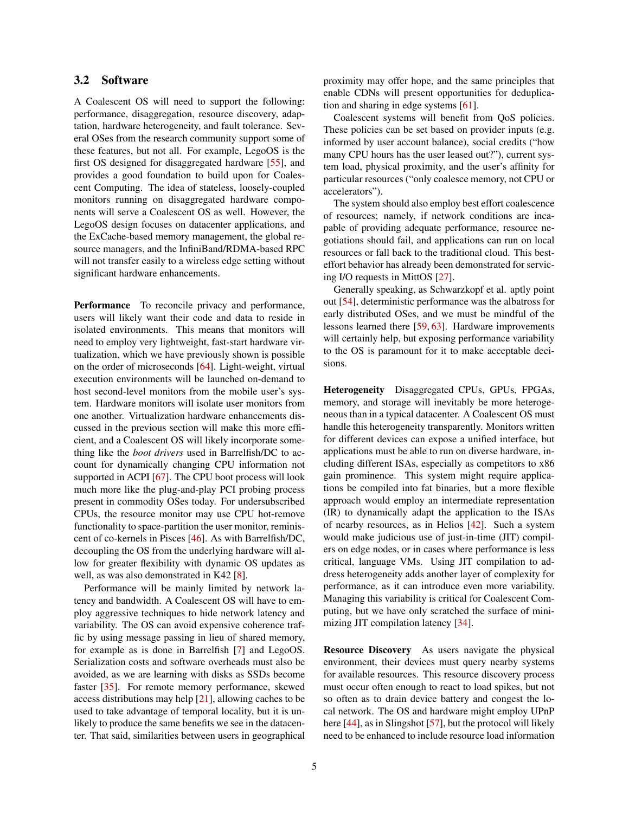## <span id="page-4-0"></span>3.2 Software

A Coalescent OS will need to support the following: performance, disaggregation, resource discovery, adaptation, hardware heterogeneity, and fault tolerance. Several OSes from the research community support some of these features, but not all. For example, LegoOS is the first OS designed for disaggregated hardware [\[55\]](#page-9-7), and provides a good foundation to build upon for Coalescent Computing. The idea of stateless, loosely-coupled monitors running on disaggregated hardware components will serve a Coalescent OS as well. However, the LegoOS design focuses on datacenter applications, and the ExCache-based memory management, the global resource managers, and the InfiniBand/RDMA-based RPC will not transfer easily to a wireless edge setting without significant hardware enhancements.

Performance To reconcile privacy and performance, users will likely want their code and data to reside in isolated environments. This means that monitors will need to employ very lightweight, fast-start hardware virtualization, which we have previously shown is possible on the order of microseconds [\[64\]](#page-10-10). Light-weight, virtual execution environments will be launched on-demand to host second-level monitors from the mobile user's system. Hardware monitors will isolate user monitors from one another. Virtualization hardware enhancements discussed in the previous section will make this more efficient, and a Coalescent OS will likely incorporate something like the *boot drivers* used in Barrelfish/DC to account for dynamically changing CPU information not supported in ACPI [\[67\]](#page-10-11). The CPU boot process will look much more like the plug-and-play PCI probing process present in commodity OSes today. For undersubscribed CPUs, the resource monitor may use CPU hot-remove functionality to space-partition the user monitor, reminiscent of co-kernels in Pisces [\[46\]](#page-9-12). As with Barrelfish/DC, decoupling the OS from the underlying hardware will allow for greater flexibility with dynamic OS updates as well, as was also demonstrated in K42 [\[8\]](#page-6-6).

Performance will be mainly limited by network latency and bandwidth. A Coalescent OS will have to employ aggressive techniques to hide network latency and variability. The OS can avoid expensive coherence traffic by using message passing in lieu of shared memory, for example as is done in Barrelfish [\[7\]](#page-6-7) and LegoOS. Serialization costs and software overheads must also be avoided, as we are learning with disks as SSDs become faster [\[35\]](#page-8-12). For remote memory performance, skewed access distributions may help [\[21\]](#page-7-6), allowing caches to be used to take advantage of temporal locality, but it is unlikely to produce the same benefits we see in the datacenter. That said, similarities between users in geographical proximity may offer hope, and the same principles that enable CDNs will present opportunities for deduplication and sharing in edge systems [\[61\]](#page-10-1).

Coalescent systems will benefit from QoS policies. These policies can be set based on provider inputs (e.g. informed by user account balance), social credits ("how many CPU hours has the user leased out?"), current system load, physical proximity, and the user's affinity for particular resources ("only coalesce memory, not CPU or accelerators").

The system should also employ best effort coalescence of resources; namely, if network conditions are incapable of providing adequate performance, resource negotiations should fail, and applications can run on local resources or fall back to the traditional cloud. This besteffort behavior has already been demonstrated for servicing I/O requests in MittOS [\[27\]](#page-8-13).

Generally speaking, as Schwarzkopf et al. aptly point out [\[54\]](#page-9-13), deterministic performance was the albatross for early distributed OSes, and we must be mindful of the lessons learned there [\[59,](#page-10-12) [63\]](#page-10-13). Hardware improvements will certainly help, but exposing performance variability to the OS is paramount for it to make acceptable decisions.

Heterogeneity Disaggregated CPUs, GPUs, FPGAs, memory, and storage will inevitably be more heterogeneous than in a typical datacenter. A Coalescent OS must handle this heterogeneity transparently. Monitors written for different devices can expose a unified interface, but applications must be able to run on diverse hardware, including different ISAs, especially as competitors to x86 gain prominence. This system might require applications be compiled into fat binaries, but a more flexible approach would employ an intermediate representation (IR) to dynamically adapt the application to the ISAs of nearby resources, as in Helios [\[42\]](#page-9-14). Such a system would make judicious use of just-in-time (JIT) compilers on edge nodes, or in cases where performance is less critical, language VMs. Using JIT compilation to address heterogeneity adds another layer of complexity for performance, as it can introduce even more variability. Managing this variability is critical for Coalescent Computing, but we have only scratched the surface of minimizing JIT compilation latency [\[34\]](#page-8-14).

Resource Discovery As users navigate the physical environment, their devices must query nearby systems for available resources. This resource discovery process must occur often enough to react to load spikes, but not so often as to drain device battery and congest the local network. The OS and hardware might employ UPnP here [\[44\]](#page-9-15), as in Slingshot [\[57\]](#page-10-14), but the protocol will likely need to be enhanced to include resource load information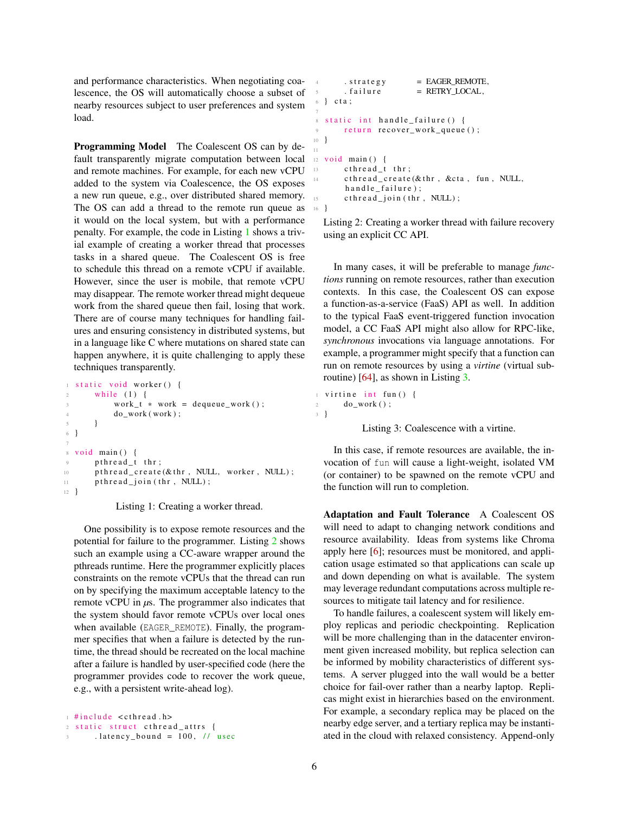and performance characteristics. When negotiating coalescence, the OS will automatically choose a subset of nearby resources subject to user preferences and system load.

Programming Model The Coalescent OS can by default transparently migrate computation between local and remote machines. For example, for each new vCPU added to the system via Coalescence, the OS exposes a new run queue, e.g., over distributed shared memory. The OS can add a thread to the remote run queue as it would on the local system, but with a performance penalty. For example, the code in Listing [1](#page-5-0) shows a trivial example of creating a worker thread that processes tasks in a shared queue. The Coalescent OS is free to schedule this thread on a remote vCPU if available. However, since the user is mobile, that remote vCPU may disappear. The remote worker thread might dequeue work from the shared queue then fail, losing that work. There are of course many techniques for handling failures and ensuring consistency in distributed systems, but in a language like C where mutations on shared state can happen anywhere, it is quite challenging to apply these techniques transparently.

```
static void worker () {
2 while (1) {
           work_t * work = degueue_work();
           do_work( work);5 }
6 }
8 void main () {
9 p th r e a d _ t th r;
10 pthread \text{create}(\& \text{thr}, NULL, worker, NULL);
11 p th r e a d _j o in ( th r , NULL);
12 }
```
Listing 1: Creating a worker thread.

One possibility is to expose remote resources and the potential for failure to the programmer. Listing [2](#page-5-1) shows such an example using a CC-aware wrapper around the pthreads runtime. Here the programmer explicitly places constraints on the remote vCPUs that the thread can run on by specifying the maximum acceptable latency to the remote vCPU in *µ*s. The programmer also indicates that the system should favor remote vCPUs over local ones when available (EAGER\_REMOTE). Finally, the programmer specifies that when a failure is detected by the runtime, the thread should be recreated on the local machine after a failure is handled by user-specified code (here the programmer provides code to recover the work queue, e.g., with a persistent write-ahead log).

```
1 #include < cthread . h>
2 static struct cthread attrs {
       3 . latency bound = 100, \frac{1}{2} usec
```

```
4. strate gy = EAGER REMOTE,. f a i l u r e = RETRY_LOCAL,
6 \} cta;
 7
s static int handle failure () {
9 return recover_work_queue();
10 }
11
12 void main () {
13 cthread_t thr;
14 c th r e a d _ c r e a t e (& th r , & c t a , fun , NULL,
       h and le_failure);
       \text{cthread\_join} (thr, NULL);
16 }
```
Listing 2: Creating a worker thread with failure recovery using an explicit CC API.

In many cases, it will be preferable to manage *functions* running on remote resources, rather than execution contexts. In this case, the Coalescent OS can expose a function-as-a-service (FaaS) API as well. In addition to the typical FaaS event-triggered function invocation model, a CC FaaS API might also allow for RPC-like, *synchronous* invocations via language annotations. For example, a programmer might specify that a function can run on remote resources by using a *virtine* (virtual subroutine) [\[64\]](#page-10-10), as shown in Listing [3.](#page-5-2)

```
virtine int fun () {
2 \qquad \qquad do_work ();
3 }
```
Listing 3: Coalescence with a virtine.

In this case, if remote resources are available, the invocation of fun will cause a light-weight, isolated VM (or container) to be spawned on the remote vCPU and the function will run to completion.

Adaptation and Fault Tolerance A Coalescent OS will need to adapt to changing network conditions and resource availability. Ideas from systems like Chroma apply here [\[6\]](#page-6-8); resources must be monitored, and application usage estimated so that applications can scale up and down depending on what is available. The system may leverage redundant computations across multiple resources to mitigate tail latency and for resilience.

To handle failures, a coalescent system will likely employ replicas and periodic checkpointing. Replication will be more challenging than in the datacenter environment given increased mobility, but replica selection can be informed by mobility characteristics of different systems. A server plugged into the wall would be a better choice for fail-over rather than a nearby laptop. Replicas might exist in hierarchies based on the environment. For example, a secondary replica may be placed on the nearby edge server, and a tertiary replica may be instantiated in the cloud with relaxed consistency. Append-only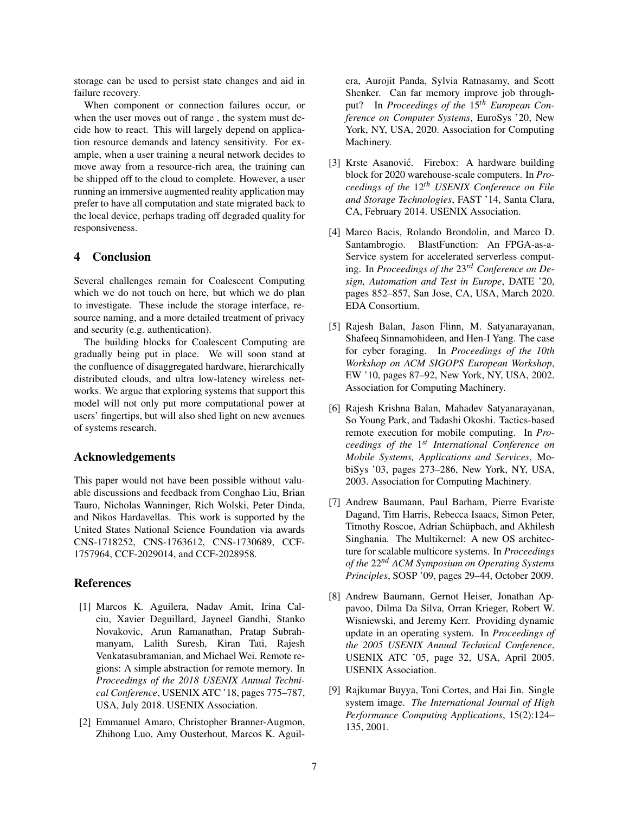storage can be used to persist state changes and aid in failure recovery.

When component or connection failures occur, or when the user moves out of range , the system must decide how to react. This will largely depend on application resource demands and latency sensitivity. For example, when a user training a neural network decides to move away from a resource-rich area, the training can be shipped off to the cloud to complete. However, a user running an immersive augmented reality application may prefer to have all computation and state migrated back to the local device, perhaps trading off degraded quality for responsiveness.

## 4 Conclusion

Several challenges remain for Coalescent Computing which we do not touch on here, but which we do plan to investigate. These include the storage interface, resource naming, and a more detailed treatment of privacy and security (e.g. authentication).

The building blocks for Coalescent Computing are gradually being put in place. We will soon stand at the confluence of disaggregated hardware, hierarchically distributed clouds, and ultra low-latency wireless networks. We argue that exploring systems that support this model will not only put more computational power at users' fingertips, but will also shed light on new avenues of systems research.

## Acknowledgements

This paper would not have been possible without valuable discussions and feedback from Conghao Liu, Brian Tauro, Nicholas Wanninger, Rich Wolski, Peter Dinda, and Nikos Hardavellas. This work is supported by the United States National Science Foundation via awards CNS-1718252, CNS-1763612, CNS-1730689, CCF-1757964, CCF-2029014, and CCF-2028958.

#### References

- <span id="page-6-2"></span>[1] Marcos K. Aguilera, Nadav Amit, Irina Calciu, Xavier Deguillard, Jayneel Gandhi, Stanko Novakovic, Arun Ramanathan, Pratap Subrahmanyam, Lalith Suresh, Kiran Tati, Rajesh Venkatasubramanian, and Michael Wei. Remote regions: A simple abstraction for remote memory. In *Proceedings of the 2018 USENIX Annual Technical Conference*, USENIX ATC '18, pages 775–787, USA, July 2018. USENIX Association.
- <span id="page-6-3"></span>[2] Emmanuel Amaro, Christopher Branner-Augmon, Zhihong Luo, Amy Ousterhout, Marcos K. Aguil-

era, Aurojit Panda, Sylvia Ratnasamy, and Scott Shenker. Can far memory improve job throughput? In *Proceedings of the* 15*th European Conference on Computer Systems*, EuroSys '20, New York, NY, USA, 2020. Association for Computing Machinery.

- <span id="page-6-5"></span>[3] Krste Asanović. Firebox: A hardware building block for 2020 warehouse-scale computers. In *Proceedings of the* 12*th USENIX Conference on File and Storage Technologies*, FAST '14, Santa Clara, CA, February 2014. USENIX Association.
- <span id="page-6-4"></span>[4] Marco Bacis, Rolando Brondolin, and Marco D. Santambrogio. BlastFunction: An FPGA-as-a-Service system for accelerated serverless computing. In *Proceedings of the* 23*rd Conference on Design, Automation and Test in Europe*, DATE '20, pages 852–857, San Jose, CA, USA, March 2020. EDA Consortium.
- <span id="page-6-0"></span>[5] Rajesh Balan, Jason Flinn, M. Satyanarayanan, Shafeeq Sinnamohideen, and Hen-I Yang. The case for cyber foraging. In *Proceedings of the 10th Workshop on ACM SIGOPS European Workshop*, EW '10, pages 87–92, New York, NY, USA, 2002. Association for Computing Machinery.
- <span id="page-6-8"></span>[6] Rajesh Krishna Balan, Mahadev Satyanarayanan, So Young Park, and Tadashi Okoshi. Tactics-based remote execution for mobile computing. In *Proceedings of the* 1 *st International Conference on Mobile Systems, Applications and Services*, MobiSys '03, pages 273–286, New York, NY, USA, 2003. Association for Computing Machinery.
- <span id="page-6-7"></span>[7] Andrew Baumann, Paul Barham, Pierre Evariste Dagand, Tim Harris, Rebecca Isaacs, Simon Peter, Timothy Roscoe, Adrian Schüpbach, and Akhilesh Singhania. The Multikernel: A new OS architecture for scalable multicore systems. In *Proceedings of the* 22*nd ACM Symposium on Operating Systems Principles*, SOSP '09, pages 29–44, October 2009.
- <span id="page-6-6"></span>[8] Andrew Baumann, Gernot Heiser, Jonathan Appavoo, Dilma Da Silva, Orran Krieger, Robert W. Wisniewski, and Jeremy Kerr. Providing dynamic update in an operating system. In *Proceedings of the 2005 USENIX Annual Technical Conference*, USENIX ATC '05, page 32, USA, April 2005. USENIX Association.
- <span id="page-6-1"></span>[9] Rajkumar Buyya, Toni Cortes, and Hai Jin. Single system image. *The International Journal of High Performance Computing Applications*, 15(2):124– 135, 2001.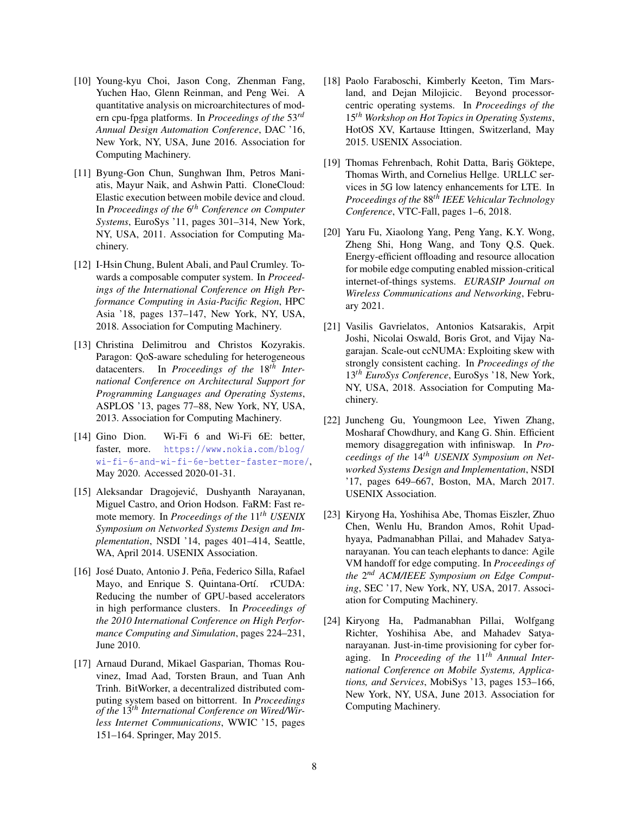- <span id="page-7-11"></span>[10] Young-kyu Choi, Jason Cong, Zhenman Fang, Yuchen Hao, Glenn Reinman, and Peng Wei. A quantitative analysis on microarchitectures of modern cpu-fpga platforms. In *Proceedings of the* 53*rd Annual Design Automation Conference*, DAC '16, New York, NY, USA, June 2016. Association for Computing Machinery.
- <span id="page-7-1"></span>[11] Byung-Gon Chun, Sunghwan Ihm, Petros Maniatis, Mayur Naik, and Ashwin Patti. CloneCloud: Elastic execution between mobile device and cloud. In *Proceedings of the* 6 *th Conference on Computer Systems*, EuroSys '11, pages 301–314, New York, NY, USA, 2011. Association for Computing Machinery.
- <span id="page-7-7"></span>[12] I-Hsin Chung, Bulent Abali, and Paul Crumley. Towards a composable computer system. In *Proceedings of the International Conference on High Performance Computing in Asia-Pacific Region*, HPC Asia '18, pages 137–147, New York, NY, USA, 2018. Association for Computing Machinery.
- <span id="page-7-10"></span>[13] Christina Delimitrou and Christos Kozyrakis. Paragon: QoS-aware scheduling for heterogeneous datacenters. In *Proceedings of the* 18*th International Conference on Architectural Support for Programming Languages and Operating Systems*, ASPLOS '13, pages 77–88, New York, NY, USA, 2013. Association for Computing Machinery.
- <span id="page-7-12"></span>[14] Gino Dion. Wi-Fi 6 and Wi-Fi 6E: better, faster, more. [https://www.nokia.com/blog/](https://www.nokia.com/blog/wi-fi-6-and-wi-fi-6e-better-faster-more/) [wi-fi-6-and-wi-fi-6e-better-faster-more/](https://www.nokia.com/blog/wi-fi-6-and-wi-fi-6e-better-faster-more/), May 2020. Accessed 2020-01-31.
- <span id="page-7-3"></span>[15] Aleksandar Dragojević, Dushyanth Narayanan, Miguel Castro, and Orion Hodson. FaRM: Fast remote memory. In *Proceedings of the* 11*th USENIX Symposium on Networked Systems Design and Implementation*, NSDI '14, pages 401–414, Seattle, WA, April 2014. USENIX Association.
- <span id="page-7-5"></span>[16] José Duato, Antonio J. Peña, Federico Silla, Rafael Mayo, and Enrique S. Quintana-Ortí. rCUDA: Reducing the number of GPU-based accelerators in high performance clusters. In *Proceedings of the 2010 International Conference on High Performance Computing and Simulation*, pages 224–231, June 2010.
- <span id="page-7-14"></span>[17] Arnaud Durand, Mikael Gasparian, Thomas Rouvinez, Imad Aad, Torsten Braun, and Tuan Anh Trinh. BitWorker, a decentralized distributed computing system based on bittorrent. In *Proceedings of the* 13*th International Conference on Wired/Wirless Internet Communications*, WWIC '15, pages 151–164. Springer, May 2015.
- <span id="page-7-8"></span>[18] Paolo Faraboschi, Kimberly Keeton, Tim Marsland, and Dejan Milojicic. Beyond processorcentric operating systems. In *Proceedings of the* 15*th Workshop on Hot Topics in Operating Systems*, HotOS XV, Kartause Ittingen, Switzerland, May 2015. USENIX Association.
- <span id="page-7-13"></span>[19] Thomas Fehrenbach, Rohit Datta, Bariş Göktepe, Thomas Wirth, and Cornelius Hellge. URLLC services in 5G low latency enhancements for LTE. In *Proceedings of the* 88*th IEEE Vehicular Technology Conference*, VTC-Fall, pages 1–6, 2018.
- <span id="page-7-9"></span>[20] Yaru Fu, Xiaolong Yang, Peng Yang, K.Y. Wong, Zheng Shi, Hong Wang, and Tony Q.S. Quek. Energy-efficient offloading and resource allocation for mobile edge computing enabled mission-critical internet-of-things systems. *EURASIP Journal on Wireless Communications and Networking*, February 2021.
- <span id="page-7-6"></span>[21] Vasilis Gavrielatos, Antonios Katsarakis, Arpit Joshi, Nicolai Oswald, Boris Grot, and Vijay Nagarajan. Scale-out ccNUMA: Exploiting skew with strongly consistent caching. In *Proceedings of the* 13*th EuroSys Conference*, EuroSys '18, New York, NY, USA, 2018. Association for Computing Machinery.
- <span id="page-7-4"></span>[22] Juncheng Gu, Youngmoon Lee, Yiwen Zhang, Mosharaf Chowdhury, and Kang G. Shin. Efficient memory disaggregation with infiniswap. In *Proceedings of the* 14*th USENIX Symposium on Networked Systems Design and Implementation*, NSDI '17, pages 649–667, Boston, MA, March 2017. USENIX Association.
- <span id="page-7-2"></span>[23] Kiryong Ha, Yoshihisa Abe, Thomas Eiszler, Zhuo Chen, Wenlu Hu, Brandon Amos, Rohit Upadhyaya, Padmanabhan Pillai, and Mahadev Satyanarayanan. You can teach elephants to dance: Agile VM handoff for edge computing. In *Proceedings of the* 2 *nd ACM/IEEE Symposium on Edge Computing*, SEC '17, New York, NY, USA, 2017. Association for Computing Machinery.
- <span id="page-7-0"></span>[24] Kiryong Ha, Padmanabhan Pillai, Wolfgang Richter, Yoshihisa Abe, and Mahadev Satyanarayanan. Just-in-time provisioning for cyber foraging. In *Proceeding of the* 11*th Annual International Conference on Mobile Systems, Applications, and Services*, MobiSys '13, pages 153–166, New York, NY, USA, June 2013. Association for Computing Machinery.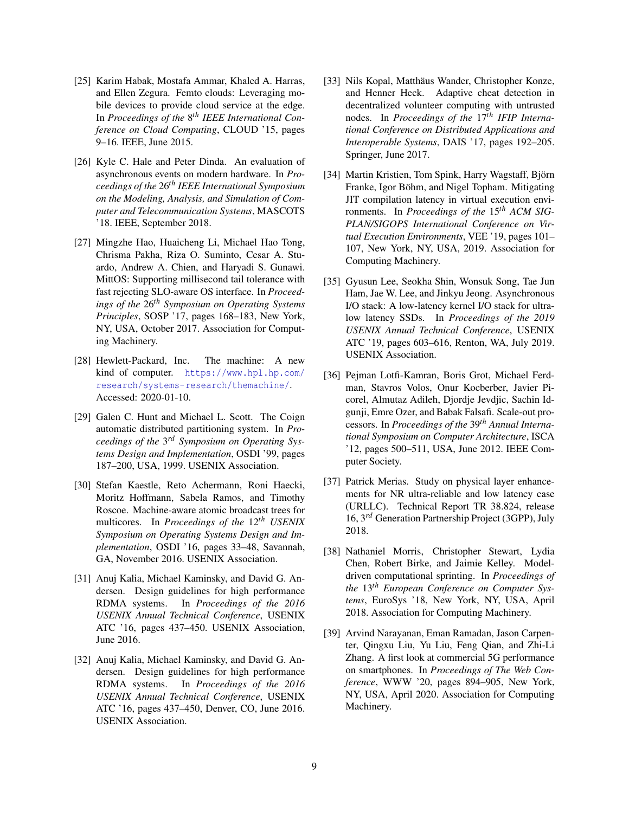- <span id="page-8-4"></span>[25] Karim Habak, Mostafa Ammar, Khaled A. Harras, and Ellen Zegura. Femto clouds: Leveraging mobile devices to provide cloud service at the edge. In *Proceedings of the* 8 *th IEEE International Conference on Cloud Computing*, CLOUD '15, pages 9–16. IEEE, June 2015.
- <span id="page-8-7"></span>[26] Kyle C. Hale and Peter Dinda. An evaluation of asynchronous events on modern hardware. In *Proceedings of the* 26*th IEEE International Symposium on the Modeling, Analysis, and Simulation of Computer and Telecommunication Systems*, MASCOTS '18. IEEE, September 2018.
- <span id="page-8-13"></span>[27] Mingzhe Hao, Huaicheng Li, Michael Hao Tong, Chrisma Pakha, Riza O. Suminto, Cesar A. Stuardo, Andrew A. Chien, and Haryadi S. Gunawi. MittOS: Supporting millisecond tail tolerance with fast rejecting SLO-aware OS interface. In *Proceedings of the* 26*th Symposium on Operating Systems Principles*, SOSP '17, pages 168–183, New York, NY, USA, October 2017. Association for Computing Machinery.
- <span id="page-8-3"></span>[28] Hewlett-Packard, Inc. The machine: A new kind of computer. [https://www.hpl.hp.com/](https://www.hpl.hp.com/research/systems-research/themachine/) [research/systems-research/themachine/](https://www.hpl.hp.com/research/systems-research/themachine/). Accessed: 2020-01-10.
- <span id="page-8-0"></span>[29] Galen C. Hunt and Michael L. Scott. The Coign automatic distributed partitioning system. In *Proceedings of the* 3 *rd Symposium on Operating Systems Design and Implementation*, OSDI '99, pages 187–200, USA, 1999. USENIX Association.
- <span id="page-8-6"></span>[30] Stefan Kaestle, Reto Achermann, Roni Haecki, Moritz Hoffmann, Sabela Ramos, and Timothy Roscoe. Machine-aware atomic broadcast trees for multicores. In *Proceedings of the* 12*th USENIX Symposium on Operating Systems Design and Implementation*, OSDI '16, pages 33–48, Savannah, GA, November 2016. USENIX Association.
- <span id="page-8-1"></span>[31] Anuj Kalia, Michael Kaminsky, and David G. Andersen. Design guidelines for high performance RDMA systems. In *Proceedings of the 2016 USENIX Annual Technical Conference*, USENIX ATC '16, pages 437–450. USENIX Association, June 2016.
- <span id="page-8-8"></span>[32] Anuj Kalia, Michael Kaminsky, and David G. Andersen. Design guidelines for high performance RDMA systems. In *Proceedings of the 2016 USENIX Annual Technical Conference*, USENIX ATC '16, pages 437–450, Denver, CO, June 2016. USENIX Association.
- <span id="page-8-11"></span>[33] Nils Kopal, Matthäus Wander, Christopher Konze, and Henner Heck. Adaptive cheat detection in decentralized volunteer computing with untrusted nodes. In *Proceedings of the* 17*th IFIP International Conference on Distributed Applications and Interoperable Systems*, DAIS '17, pages 192–205. Springer, June 2017.
- <span id="page-8-14"></span>[34] Martin Kristien, Tom Spink, Harry Wagstaff, Björn Franke, Igor Böhm, and Nigel Topham. Mitigating JIT compilation latency in virtual execution environments. In *Proceedings of the* 15*th ACM SIG-PLAN/SIGOPS International Conference on Virtual Execution Environments*, VEE '19, pages 101– 107, New York, NY, USA, 2019. Association for Computing Machinery.
- <span id="page-8-12"></span>[35] Gyusun Lee, Seokha Shin, Wonsuk Song, Tae Jun Ham, Jae W. Lee, and Jinkyu Jeong. Asynchronous I/O stack: A low-latency kernel I/O stack for ultralow latency SSDs. In *Proceedings of the 2019 USENIX Annual Technical Conference*, USENIX ATC '19, pages 603–616, Renton, WA, July 2019. USENIX Association.
- <span id="page-8-2"></span>[36] Pejman Lotfi-Kamran, Boris Grot, Michael Ferdman, Stavros Volos, Onur Kocberber, Javier Picorel, Almutaz Adileh, Djordje Jevdjic, Sachin Idgunji, Emre Ozer, and Babak Falsafi. Scale-out processors. In *Proceedings of the* 39*th Annual International Symposium on Computer Architecture*, ISCA '12, pages 500–511, USA, June 2012. IEEE Computer Society.
- <span id="page-8-9"></span>[37] Patrick Merias. Study on physical layer enhancements for NR ultra-reliable and low latency case (URLLC). Technical Report TR 38.824, release 16, 3*rd* Generation Partnership Project (3GPP), July 2018.
- <span id="page-8-5"></span>[38] Nathaniel Morris, Christopher Stewart, Lydia Chen, Robert Birke, and Jaimie Kelley. Modeldriven computational sprinting. In *Proceedings of the* 13*th European Conference on Computer Systems*, EuroSys '18, New York, NY, USA, April 2018. Association for Computing Machinery.
- <span id="page-8-10"></span>[39] Arvind Narayanan, Eman Ramadan, Jason Carpenter, Qingxu Liu, Yu Liu, Feng Qian, and Zhi-Li Zhang. A first look at commercial 5G performance on smartphones. In *Proceedings of The Web Conference*, WWW '20, pages 894–905, New York, NY, USA, April 2020. Association for Computing Machinery.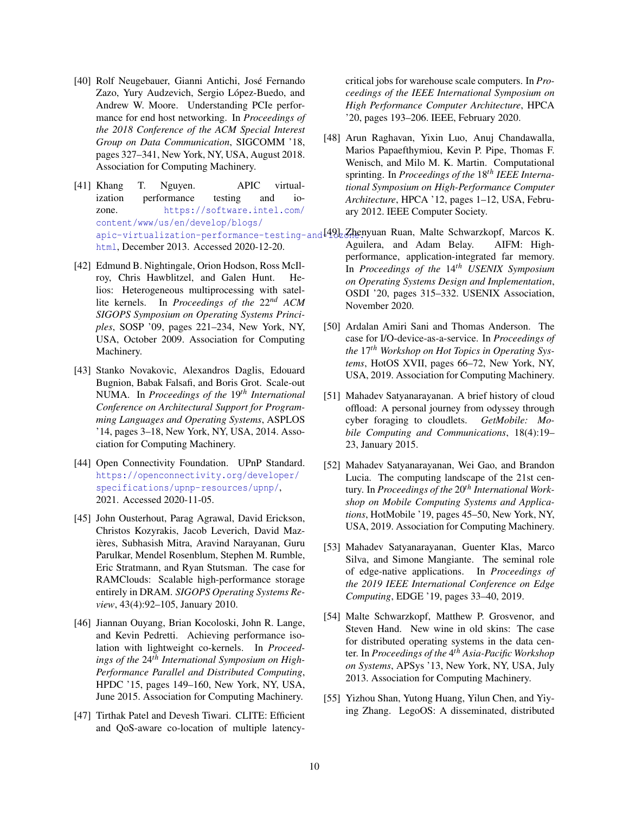- <span id="page-9-10"></span>[40] Rolf Neugebauer, Gianni Antichi, José Fernando Zazo, Yury Audzevich, Sergio López-Buedo, and Andrew W. Moore. Understanding PCIe performance for end host networking. In *Proceedings of the 2018 Conference of the ACM Special Interest Group on Data Communication*, SIGCOMM '18, pages 327–341, New York, NY, USA, August 2018. Association for Computing Machinery.
- <span id="page-9-11"></span>[41] Khang T. Nguyen. APIC virtualization performance testing and iozone. [https://software.intel.com/](https://software.intel.com/content/www/us/en/develop/blogs/apic-virtualization-performance-testing-and-iozone.html) [content/www/us/en/develop/blogs/](https://software.intel.com/content/www/us/en/develop/blogs/apic-virtualization-performance-testing-and-iozone.html) [html](https://software.intel.com/content/www/us/en/develop/blogs/apic-virtualization-performance-testing-and-iozone.html), December 2013. Accessed 2020-12-20.
- <span id="page-9-14"></span>[42] Edmund B. Nightingale, Orion Hodson, Ross McIlroy, Chris Hawblitzel, and Galen Hunt. Helios: Heterogeneous multiprocessing with satellite kernels. In *Proceedings of the* 22*nd ACM SIGOPS Symposium on Operating Systems Principles*, SOSP '09, pages 221–234, New York, NY, USA, October 2009. Association for Computing Machinery.
- <span id="page-9-6"></span><span id="page-9-1"></span>[43] Stanko Novakovic, Alexandros Daglis, Edouard Bugnion, Babak Falsafi, and Boris Grot. Scale-out NUMA. In *Proceedings of the* 19*th International Conference on Architectural Support for Programming Languages and Operating Systems*, ASPLOS '14, pages 3–18, New York, NY, USA, 2014. Association for Computing Machinery.
- <span id="page-9-15"></span><span id="page-9-0"></span>[44] Open Connectivity Foundation. UPnP Standard. [https://openconnectivity.org/developer/](https://openconnectivity.org/developer/specifications/upnp-resources/upnp/) [specifications/upnp-resources/upnp/](https://openconnectivity.org/developer/specifications/upnp-resources/upnp/), 2021. Accessed 2020-11-05.
- <span id="page-9-3"></span><span id="page-9-2"></span>[45] John Ousterhout, Parag Agrawal, David Erickson, Christos Kozyrakis, Jacob Leverich, David Mazières, Subhasish Mitra, Aravind Narayanan, Guru Parulkar, Mendel Rosenblum, Stephen M. Rumble, Eric Stratmann, and Ryan Stutsman. The case for RAMClouds: Scalable high-performance storage entirely in DRAM. *SIGOPS Operating Systems Review*, 43(4):92–105, January 2010.
- <span id="page-9-13"></span><span id="page-9-12"></span>[46] Jiannan Ouyang, Brian Kocoloski, John R. Lange, and Kevin Pedretti. Achieving performance isolation with lightweight co-kernels. In *Proceedings of the* 24*th International Symposium on High-Performance Parallel and Distributed Computing*, HPDC '15, pages 149–160, New York, NY, USA, June 2015. Association for Computing Machinery.
- <span id="page-9-9"></span><span id="page-9-7"></span>[47] Tirthak Patel and Devesh Tiwari. CLITE: Efficient and QoS-aware co-location of multiple latency-

critical jobs for warehouse scale computers. In *Proceedings of the IEEE International Symposium on High Performance Computer Architecture*, HPCA '20, pages 193–206. IEEE, February 2020.

- <span id="page-9-8"></span><span id="page-9-5"></span><span id="page-9-4"></span>[48] Arun Raghavan, Yixin Luo, Anuj Chandawalla, Marios Papaefthymiou, Kevin P. Pipe, Thomas F. Wenisch, and Milo M. K. Martin. Computational sprinting. In *Proceedings of the* 18*th IEEE International Symposium on High-Performance Computer Architecture*, HPCA '12, pages 1–12, USA, February 2012. IEEE Computer Society.
- [apic-virtualization-performance-testing-](https://software.intel.com/content/www/us/en/develop/blogs/apic-virtualization-performance-testing-and-iozone.html)and $\operatorname{I49b}$ Zhenyuan Ruan, Malte Schwarzkopf, Marcos K. Aguilera, and Adam Belay. AIFM: Highperformance, application-integrated far memory. In *Proceedings of the* 14*th USENIX Symposium on Operating Systems Design and Implementation*, OSDI '20, pages 315–332. USENIX Association, November 2020.
	- [50] Ardalan Amiri Sani and Thomas Anderson. The case for I/O-device-as-a-service. In *Proceedings of the* 17*th Workshop on Hot Topics in Operating Systems*, HotOS XVII, pages 66–72, New York, NY, USA, 2019. Association for Computing Machinery.
	- [51] Mahadev Satyanarayanan. A brief history of cloud offload: A personal journey from odyssey through cyber foraging to cloudlets. *GetMobile: Mobile Computing and Communications*, 18(4):19– 23, January 2015.
	- [52] Mahadev Satyanarayanan, Wei Gao, and Brandon Lucia. The computing landscape of the 21st century. In *Proceedings of the* 20*th International Workshop on Mobile Computing Systems and Applications*, HotMobile '19, pages 45–50, New York, NY, USA, 2019. Association for Computing Machinery.
	- [53] Mahadev Satyanarayanan, Guenter Klas, Marco Silva, and Simone Mangiante. The seminal role of edge-native applications. In *Proceedings of the 2019 IEEE International Conference on Edge Computing*, EDGE '19, pages 33–40, 2019.
	- [54] Malte Schwarzkopf, Matthew P. Grosvenor, and Steven Hand. New wine in old skins: The case for distributed operating systems in the data center. In *Proceedings of the* 4 *th Asia-Pacific Workshop on Systems*, APSys '13, New York, NY, USA, July 2013. Association for Computing Machinery.
	- [55] Yizhou Shan, Yutong Huang, Yilun Chen, and Yiying Zhang. LegoOS: A disseminated, distributed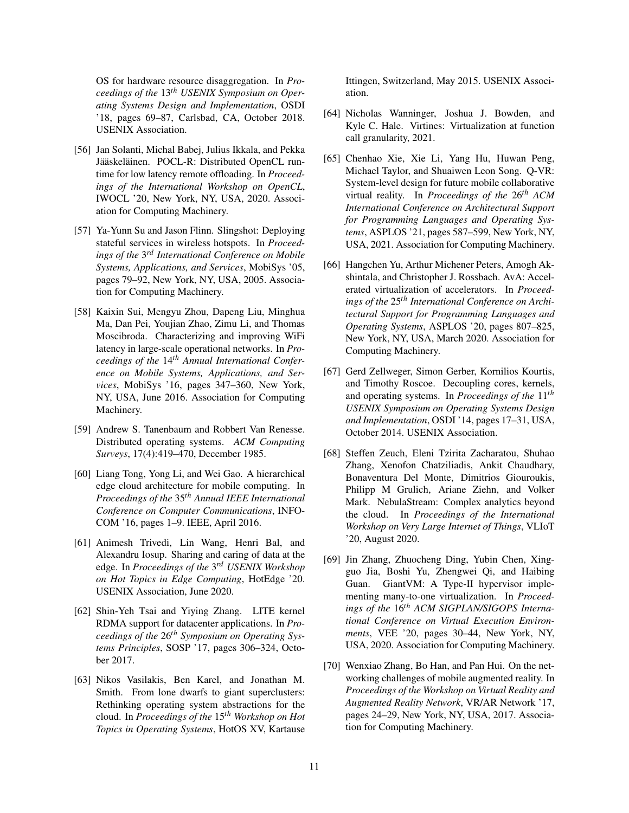OS for hardware resource disaggregation. In *Proceedings of the* 13*th USENIX Symposium on Operating Systems Design and Implementation*, OSDI '18, pages 69–87, Carlsbad, CA, October 2018. USENIX Association.

- <span id="page-10-8"></span>[56] Jan Solanti, Michal Babej, Julius Ikkala, and Pekka Jääskeläinen. POCL-R: Distributed OpenCL runtime for low latency remote offloading. In *Proceedings of the International Workshop on OpenCL*, IWOCL '20, New York, NY, USA, 2020. Association for Computing Machinery.
- <span id="page-10-14"></span>[57] Ya-Yunn Su and Jason Flinn. Slingshot: Deploying stateful services in wireless hotspots. In *Proceedings of the* 3 *rd International Conference on Mobile Systems, Applications, and Services*, MobiSys '05, pages 79–92, New York, NY, USA, 2005. Association for Computing Machinery.
- <span id="page-10-9"></span>[58] Kaixin Sui, Mengyu Zhou, Dapeng Liu, Minghua Ma, Dan Pei, Youjian Zhao, Zimu Li, and Thomas Moscibroda. Characterizing and improving WiFi latency in large-scale operational networks. In *Proceedings of the* 14*th Annual International Conference on Mobile Systems, Applications, and Services*, MobiSys '16, pages 347–360, New York, NY, USA, June 2016. Association for Computing Machinery.
- <span id="page-10-12"></span>[59] Andrew S. Tanenbaum and Robbert Van Renesse. Distributed operating systems. *ACM Computing Surveys*, 17(4):419–470, December 1985.
- <span id="page-10-0"></span>[60] Liang Tong, Yong Li, and Wei Gao. A hierarchical edge cloud architecture for mobile computing. In *Proceedings of the* 35*th Annual IEEE International Conference on Computer Communications*, INFO-COM '16, pages 1–9. IEEE, April 2016.
- <span id="page-10-1"></span>[61] Animesh Trivedi, Lin Wang, Henri Bal, and Alexandru Iosup. Sharing and caring of data at the edge. In *Proceedings of the* 3 *rd USENIX Workshop on Hot Topics in Edge Computing*, HotEdge '20. USENIX Association, June 2020.
- <span id="page-10-5"></span>[62] Shin-Yeh Tsai and Yiying Zhang. LITE kernel RDMA support for datacenter applications. In *Proceedings of the* 26*th Symposium on Operating Systems Principles*, SOSP '17, pages 306–324, October 2017.
- <span id="page-10-13"></span>[63] Nikos Vasilakis, Ben Karel, and Jonathan M. Smith. From lone dwarfs to giant superclusters: Rethinking operating system abstractions for the cloud. In *Proceedings of the* 15*th Workshop on Hot Topics in Operating Systems*, HotOS XV, Kartause

Ittingen, Switzerland, May 2015. USENIX Association.

- <span id="page-10-10"></span>[64] Nicholas Wanninger, Joshua J. Bowden, and Kyle C. Hale. Virtines: Virtualization at function call granularity, 2021.
- <span id="page-10-3"></span>[65] Chenhao Xie, Xie Li, Yang Hu, Huwan Peng, Michael Taylor, and Shuaiwen Leon Song. Q-VR: System-level design for future mobile collaborative virtual reality. In *Proceedings of the* 26*th ACM International Conference on Architectural Support for Programming Languages and Operating Systems*, ASPLOS '21, pages 587–599, New York, NY, USA, 2021. Association for Computing Machinery.
- <span id="page-10-6"></span>[66] Hangchen Yu, Arthur Michener Peters, Amogh Akshintala, and Christopher J. Rossbach. AvA: Accelerated virtualization of accelerators. In *Proceedings of the* 25*th International Conference on Architectural Support for Programming Languages and Operating Systems*, ASPLOS '20, pages 807–825, New York, NY, USA, March 2020. Association for Computing Machinery.
- <span id="page-10-11"></span>[67] Gerd Zellweger, Simon Gerber, Kornilios Kourtis, and Timothy Roscoe. Decoupling cores, kernels, and operating systems. In *Proceedings of the* 11*th USENIX Symposium on Operating Systems Design and Implementation*, OSDI '14, pages 17–31, USA, October 2014. USENIX Association.
- <span id="page-10-4"></span>[68] Steffen Zeuch, Eleni Tzirita Zacharatou, Shuhao Zhang, Xenofon Chatziliadis, Ankit Chaudhary, Bonaventura Del Monte, Dimitrios Giouroukis, Philipp M Grulich, Ariane Ziehn, and Volker Mark. NebulaStream: Complex analytics beyond the cloud. In *Proceedings of the International Workshop on Very Large Internet of Things*, VLIoT '20, August 2020.
- <span id="page-10-7"></span>[69] Jin Zhang, Zhuocheng Ding, Yubin Chen, Xingguo Jia, Boshi Yu, Zhengwei Qi, and Haibing Guan. GiantVM: A Type-II hypervisor implementing many-to-one virtualization. In *Proceedings of the* 16*th ACM SIGPLAN/SIGOPS International Conference on Virtual Execution Environments*, VEE '20, pages 30–44, New York, NY, USA, 2020. Association for Computing Machinery.
- <span id="page-10-2"></span>[70] Wenxiao Zhang, Bo Han, and Pan Hui. On the networking challenges of mobile augmented reality. In *Proceedings of the Workshop on Virtual Reality and Augmented Reality Network*, VR/AR Network '17, pages 24–29, New York, NY, USA, 2017. Association for Computing Machinery.